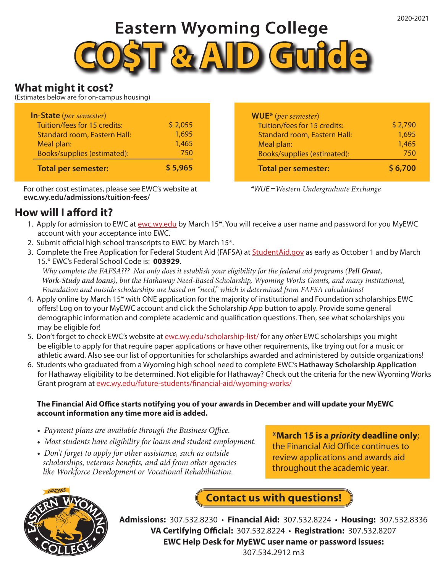# **Eastern Wyoming College**



## **What might it cost?**

(Estimates below are for on-campus housing)

| <b>In-State</b> (per semester)      |         |
|-------------------------------------|---------|
| Tuition/fees for 15 credits:        | \$2,055 |
| <b>Standard room, Eastern Hall:</b> | 1,695   |
| Meal plan:                          | 1,465   |
| <b>Books/supplies (estimated):</b>  | 750     |
| <b>Total per semester:</b>          | \$5,965 |

For other cost estimates, please see EWC's website at **ewc.wy.edu/admissions/tuition-fees/**

# **How will I afford it?**

| <b>Total per semester:</b>          | \$6,700 |
|-------------------------------------|---------|
| Books/supplies (estimated):         | 750     |
| Meal plan:                          | 1,465   |
| <b>Standard room, Eastern Hall:</b> | 1,695   |
| Tuition/fees for 15 credits:        | \$2,790 |
| <b>WUE*</b> (per semester)          |         |

*\*WUE =Western Undergraduate Exchange*

- 1. Apply for admission to EWC at ewc.wy.edu by March 15\*. You will receive a user name and password for you MyEWC account with your acceptance into EWC.
- 2. Submit official high school transcripts to EWC by March 15\*.
- 3. Complete the Free Application for Federal Student Aid (FAFSA) at StudentAid.gov as early as October 1 and by March 15.\* EWC's Federal School Code is: **003929**.

 *Why complete the FAFSA??? Not only does it establish your eligibility for the federal aid programs (Pell Grant, Work-Study and loans), but the Hathaway Need-Based Scholarship, Wyoming Works Grants, and many institutional, Foundation and outside scholarships are based on "need," which is determined from FAFSA calculations!*

- 4. Apply online by March 15\* with ONE application for the majority of institutional and Foundation scholarships EWC offers! Log on to your MyEWC account and click the Scholarship App button to apply. Provide some general demographic information and complete academic and qualification questions. Then, see what scholarships you may be eligible for!
- 5. Don't forget to check EWC's website at ewc.wy.edu/scholarship-list/ for any *other* EWC scholarships you might be eligible to apply for that require paper applications or have other requirements, like trying out for a music or athletic award. Also see our list of opportunities for scholarships awarded and administered by outside organizations!
- 6. Students who graduated from a Wyoming high school need to complete EWC's **Hathaway Scholarship Application** for Hathaway eligibility to be determined. Not eligible for Hathaway? Check out the criteria for the new Wyoming Works Grant program at ewc.wy.edu/future-students/financial-aid/wyoming-works/

#### **The Financial Aid Office starts notifying you of your awards in December and will update your MyEWC account information any time more aid is added.**

- *Payment plans are available through the Business Office.*
- *Most students have eligibility for loans and student employment.*
- *Don't forget to apply for other assistance, such as outside scholarships, veterans benefits, and aid from other agencies like Workforce Development or Vocational Rehabilitation.*

**\*March 15 is a** *priority* **deadline only**; the Financial Aid Office continues to review applications and awards aid throughout the academic year.



**Admissions:** 307.532.8230 • **Financial Aid:** 307.532.8224 • **Housing:** 307.532.8336 **Contact us with questions!**

**VA Certifying Official:** 307.532.8224 • **Registration:** 307.532.8207

**EWC Help Desk for MyEWC user name or password issues:**

307.534.2912 m3